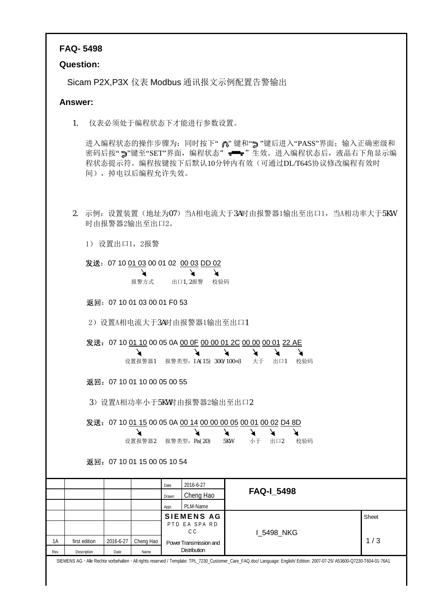## **FAQ- 5498**

## **Question:**

Sicam P2X,P3X 仪表 Modbus 通讯报文示例配置告警输出

## **Answer:**

1. 仪表必须处于编程状态下才能进行参数设置。

进入编程状态的操作步骤为: 同时按下" 心"键和"> "键后进入"PASS"界面; 输入正确密级和 密码后按"7"键至"SET"界面, 编程状态" = = "生效。进入编程状态后, 液晶右下角显示编 程状态提示符。编程按键按下后默认10分钟内有效(可通过DL/T645协议修改编程有效时 间),掉电以后编程允许失效。

2. 示例:设置装置(地址为07)当A相电流大于3A时由报警器1输出至出口1,当A相功率大于5KW 时由报警器2输出至出口2。

1) 设置出口1,2报警

发送:07 10 01 03 00 01 02 00 03 DD 02

 $\blacktriangleright$ ↘ ↘ 报警方式 出口1,2报警 校验码

返回:07 10 01 03 00 01 F0 53

2) 设置A相电流大于3A时由报警器1输出至出口1

发送: 07 10 01 10 00 05 0A 00 0F 00 00 01 2C 00 00 00 01 22 AE

| 设置报警器1   报警类型: 1A(15) 300/100=3   大于   出口1   校验码 |  |  |  |
|--------------------------------------------------|--|--|--|

返回:07 10 01 10 00 05 00 55

3)设置A相功率小于5KW时由报警器2输出至出口2

|      |               |           | 设置报警器2                      |       | 发送: 07 10 <u>01 15</u> 00 05 0A <u>00 14 00 00 00 05 00 01 00 02 D4 8D</u><br>报警类型: Pa(20)                                                                               | 5KW | 小于 | 出口2               | 校验码 |       |
|------|---------------|-----------|-----------------------------|-------|--------------------------------------------------------------------------------------------------------------------------------------------------------------------------|-----|----|-------------------|-----|-------|
|      |               |           | 返回: 07 10 01 15 00 05 10 54 |       |                                                                                                                                                                          |     |    |                   |     |       |
|      |               |           |                             | Date  | 2016-6-27                                                                                                                                                                |     |    |                   |     |       |
|      |               |           |                             | Drawn | Cheng Hao                                                                                                                                                                |     |    | <b>FAQ-I 5498</b> |     |       |
|      |               |           |                             | Appr. | PLM-Name                                                                                                                                                                 |     |    |                   |     |       |
|      |               |           |                             |       | <b>SIEMENS AG</b>                                                                                                                                                        |     |    |                   |     | Sheet |
|      |               |           |                             |       | PTD EA SPA RD<br>C C                                                                                                                                                     |     |    |                   |     |       |
| 1Α   | first edition | 2016-6-27 | Cheng Hao                   |       | Power Transmission and                                                                                                                                                   |     |    | <b>I 5498 NKG</b> |     | 1/3   |
| Rev. | Description   | Date      | Name                        |       | <b>Distribution</b>                                                                                                                                                      |     |    |                   |     |       |
|      |               |           |                             |       | SIEMENS AG · Alle Rechte vorbehalten · All rights reserved / Template: TPL_7230_Customer_Care_FAQ.doc/ Language: English/ Edition: 2007-07-25/ A53600-Q7230-T604-01-76A1 |     |    |                   |     |       |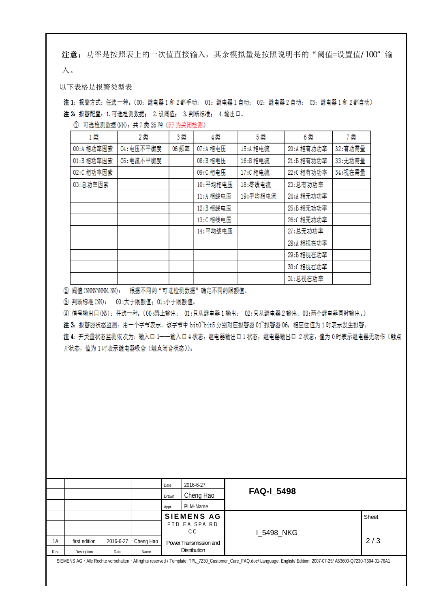注意: 功率是按照表上的一次值直接输入, 其余模拟量是按照说明书的"阈值=设置值/100"输 入。

以下表格是报警类型表

注 1: 报警方式: 任选一种。(00: 继电器 1 和 2 都手动; 01: 继电器 1 自动; 02: 继电器 2 自动; 03: 继电器 1 和 2 都自动) 注 2: 报警配置: 1. 可选检测数据: 2. 设阀值: 3. 判断标准: 4. 输出口。

| 1类         | 2类         | 3类    | 4类        | 5类       | 6类         | 7类       |
|------------|------------|-------|-----------|----------|------------|----------|
| 00:A 相功率因素 | 04: 电压不平衡度 | 06 频率 | 07:A 相电压  | 15:A 相电流 | 20:A 相有功功率 | 32:有功需量  |
| 01:B相功率因素  | 05: 电流不平衡度 |       | 08:B相电压   | 16:B相电流  | 21:B 相有功功率 | 33:无功需量  |
| 02:C 相功率因素 |            |       | 09:C相电压   | 17:C相电流  | 22:C相有功功率  | 34: 视在需量 |
| 03:总功率因素   |            |       | 10:平均相电压  | 18:零线电流  | 23:总有功功率   |          |
|            |            |       | 11:A 相线电压 | 19:平均相电流 | 24:A 相无功功率 |          |
|            |            |       | 12:B 相线电压 |          | 25:B相无功功率  |          |
|            |            |       | 13:C 相线电压 |          | 26:C 相无功功率 |          |
|            |            |       | 14:平均线电压  |          | 27:总无功功率   |          |
|            |            |       |           |          | 28:A 相视在功率 |          |
|            |            |       |           |          | 29:B相视在功率  |          |
|            |            |       |           |          | 30:C相视在功率  |          |
|            |            |       |           |          | 31:总视在功率   |          |

(1) 可选检测数据 (NN): 共7 类 35 种 (FF 为关闭检测)

② 阀值(NNNNNNN、NN): 根据不同的"可选检测数据"确定不同的限额值。

③ 判断标准(NN): 00:大于限额值; 01:小于限额值。

④ 信号输出口(NN):任选一种。(00:禁止输出; 01:只从继电器1输出; 02:只从继电器2输出;03:两个继电器同时输出。)

注 3: 报警器状态监测: 用一个字节表示, 该字节中 bit0 bit5 分别对应报警器 01 报警器 06, 相应位值为 1 时表示发生报警。

注 4: 开关量状态监测依次为: 输入口 1---输入口 4 状态, 继电器输出口 1 状态, 继电器输出口 2 状态, 值为 0 时表示继电器无动作 (触点 开状态,值为1时表示继电器吸合(触点闭合状态))。

|      |               |           |           | Date  | 2016-6-27              |                   |       |
|------|---------------|-----------|-----------|-------|------------------------|-------------------|-------|
|      |               |           |           | Drawn | Cheng Hao              | <b>FAQ-I_5498</b> |       |
|      |               |           |           | Appr. | PLM-Name               |                   |       |
|      |               |           |           |       | <b>SIEMENS AG</b>      |                   | Sheet |
|      |               |           |           |       | PTD EA SPA RD          |                   |       |
|      |               |           |           |       | C C                    | 1 5498 NKG        |       |
| 1A   | first edition | 2016-6-27 | Cheng Hao |       | Power Transmission and |                   | 2/3   |
| Rev. | Description   | Date      | Name      |       | <b>Distribution</b>    |                   |       |
|      |               |           |           |       |                        |                   |       |

SIEMENS AG Alle Rechte vorbehalten All rights reserved / Template: TPL\_7230\_Customer\_Care\_FAQ.doc/ Language: English/ Edition: 2007-07-25/ A53600-Q7230-T604-01-76A1